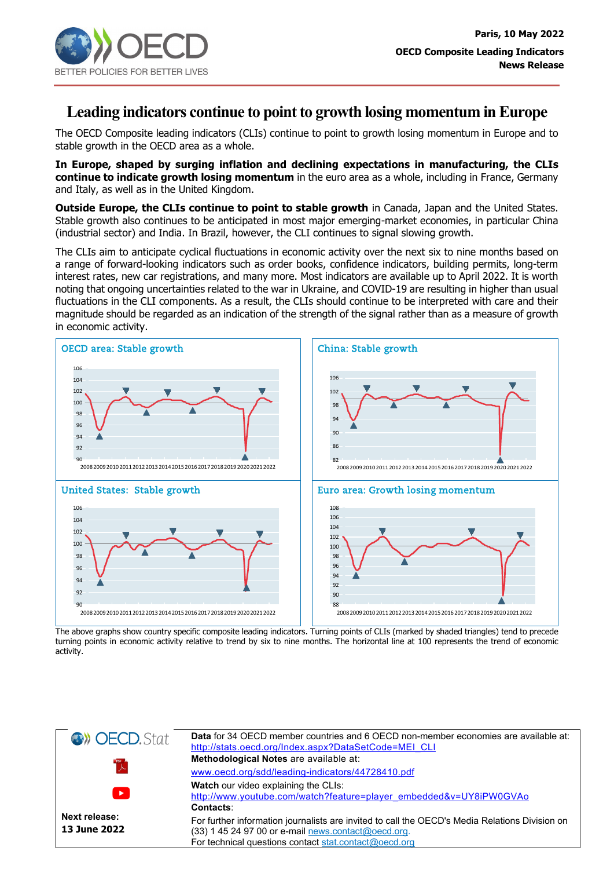

## **Leading indicators continue to point to growth losing momentum in Europe**

The OECD Composite leading indicators (CLIs) continue to point to growth losing momentum in Europe and to stable growth in the OECD area as a whole.

**In Europe, shaped by surging inflation and declining expectations in manufacturing, the CLIs continue to indicate growth losing momentum** in the euro area as a whole, including in France, Germany and Italy, as well as in the United Kingdom.

**Outside Europe, the CLIs continue to point to stable growth** in Canada, Japan and the United States. Stable growth also continues to be anticipated in most major emerging-market economies, in particular China (industrial sector) and India. In Brazil, however, the CLI continues to signal slowing growth.

The CLIs aim to anticipate cyclical fluctuations in economic activity over the next six to nine months based on a range of forward-looking indicators such as order books, confidence indicators, building permits, long-term interest rates, new car registrations, and many more. Most indicators are available up to April 2022. It is worth noting that ongoing uncertainties related to the war in Ukraine, and COVID-19 are resulting in higher than usual fluctuations in the CLI components. As a result, the CLIs should continue to be interpreted with care and their magnitude should be regarded as an indication of the strength of the signal rather than as a measure of growth in economic activity.



The above graphs show country specific composite leading indicators. Turning points of CLIs (marked by shaded triangles) tend to precede turning points in economic activity relative to trend by six to nine months. The horizontal line at 100 represents the trend of economic activity.

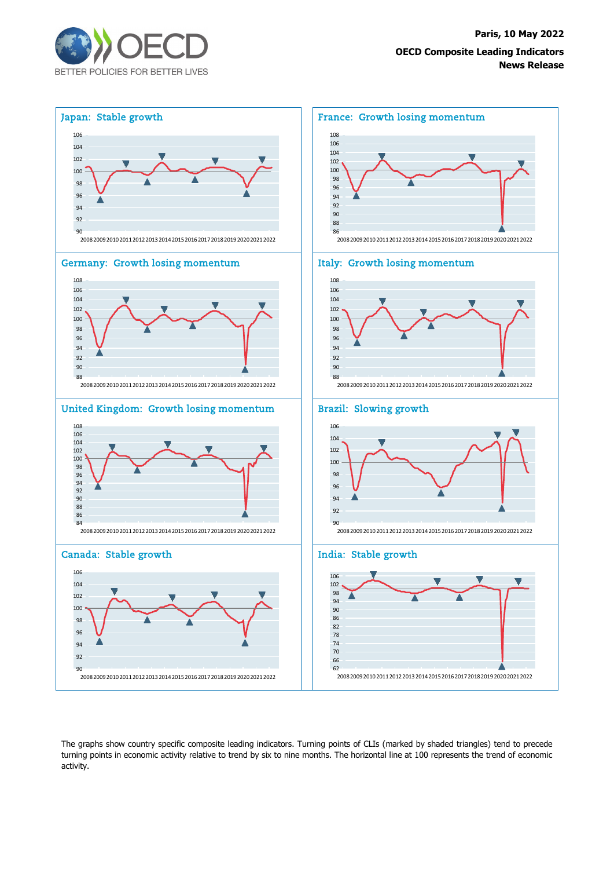



The graphs show country specific composite leading indicators. Turning points of CLIs (marked by shaded triangles) tend to precede turning points in economic activity relative to trend by six to nine months. The horizontal line at 100 represents the trend of economic activity.